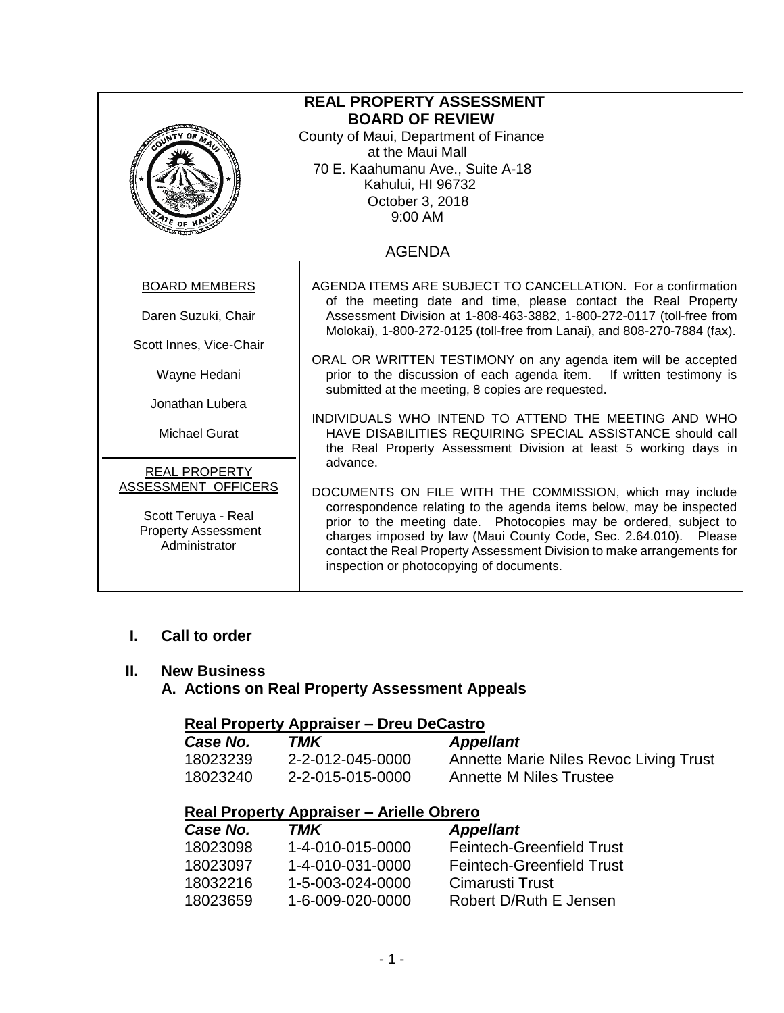| <b>REAL PROPERTY ASSESSMENT</b><br><b>BOARD OF REVIEW</b><br>County of Maui, Department of Finance<br>at the Maui Mall<br>70 E. Kaahumanu Ave., Suite A-18<br>Kahului, HI 96732<br>October 3, 2018<br>9:00 AM<br>$47E$ OF H |                                                                                                                                                                                                                                                                                                                                                                                                            |  |  |
|-----------------------------------------------------------------------------------------------------------------------------------------------------------------------------------------------------------------------------|------------------------------------------------------------------------------------------------------------------------------------------------------------------------------------------------------------------------------------------------------------------------------------------------------------------------------------------------------------------------------------------------------------|--|--|
|                                                                                                                                                                                                                             | <b>AGENDA</b>                                                                                                                                                                                                                                                                                                                                                                                              |  |  |
| <b>BOARD MEMBERS</b>                                                                                                                                                                                                        | AGENDA ITEMS ARE SUBJECT TO CANCELLATION. For a confirmation<br>of the meeting date and time, please contact the Real Property                                                                                                                                                                                                                                                                             |  |  |
| Daren Suzuki, Chair                                                                                                                                                                                                         | Assessment Division at 1-808-463-3882, 1-800-272-0117 (toll-free from<br>Molokai), 1-800-272-0125 (toll-free from Lanai), and 808-270-7884 (fax).                                                                                                                                                                                                                                                          |  |  |
| Scott Innes, Vice-Chair                                                                                                                                                                                                     |                                                                                                                                                                                                                                                                                                                                                                                                            |  |  |
| Wayne Hedani                                                                                                                                                                                                                | ORAL OR WRITTEN TESTIMONY on any agenda item will be accepted<br>prior to the discussion of each agenda item. If written testimony is<br>submitted at the meeting, 8 copies are requested.                                                                                                                                                                                                                 |  |  |
| Jonathan Lubera                                                                                                                                                                                                             |                                                                                                                                                                                                                                                                                                                                                                                                            |  |  |
| <b>Michael Gurat</b><br><b>REAL PROPERTY</b><br>ASSESSMENT OFFICERS<br>Scott Teruya - Real<br><b>Property Assessment</b><br>Administrator                                                                                   | INDIVIDUALS WHO INTEND TO ATTEND THE MEETING AND WHO<br>HAVE DISABILITIES REQUIRING SPECIAL ASSISTANCE should call<br>the Real Property Assessment Division at least 5 working days in                                                                                                                                                                                                                     |  |  |
|                                                                                                                                                                                                                             | advance.<br>DOCUMENTS ON FILE WITH THE COMMISSION, which may include<br>correspondence relating to the agenda items below, may be inspected<br>prior to the meeting date. Photocopies may be ordered, subject to<br>charges imposed by law (Maui County Code, Sec. 2.64.010). Please<br>contact the Real Property Assessment Division to make arrangements for<br>inspection or photocopying of documents. |  |  |

## **I. Call to order**

#### **II. New Business A. Actions on Real Property Assessment Appeals**

#### **Real Property Appraiser – Dreu DeCastro**

| Case No. | TMK              | <b>Appellant</b>                       |
|----------|------------------|----------------------------------------|
| 18023239 | 2-2-012-045-0000 | Annette Marie Niles Revoc Living Trust |
| 18023240 | 2-2-015-015-0000 | Annette M Niles Trustee                |

# **Real Property Appraiser – Arielle Obrero**

| Case No. | TMK              | <b>Appellant</b>                 |
|----------|------------------|----------------------------------|
| 18023098 | 1-4-010-015-0000 | <b>Feintech-Greenfield Trust</b> |
| 18023097 | 1-4-010-031-0000 | <b>Feintech-Greenfield Trust</b> |
| 18032216 | 1-5-003-024-0000 | Cimarusti Trust                  |
| 18023659 | 1-6-009-020-0000 | Robert D/Ruth E Jensen           |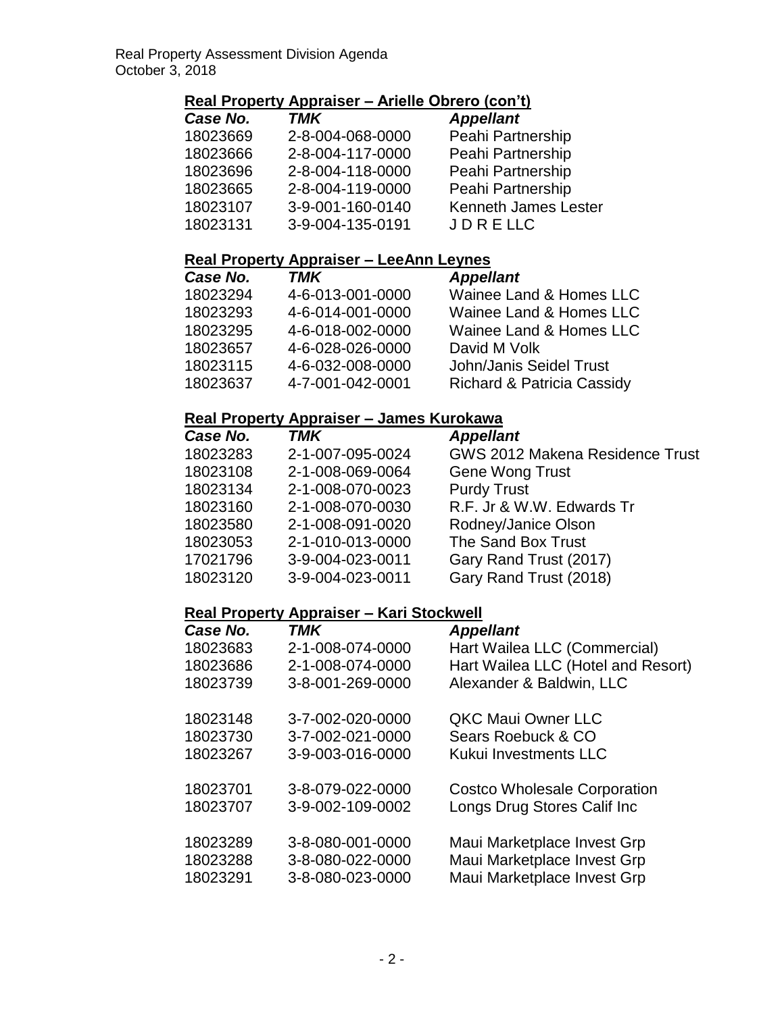## **Real Property Appraiser – Arielle Obrero (con't)**

| Case No. | <b>TMK</b>       | <b>Appellant</b>            |
|----------|------------------|-----------------------------|
| 18023669 | 2-8-004-068-0000 | Peahi Partnership           |
| 18023666 | 2-8-004-117-0000 | Peahi Partnership           |
| 18023696 | 2-8-004-118-0000 | Peahi Partnership           |
| 18023665 | 2-8-004-119-0000 | Peahi Partnership           |
| 18023107 | 3-9-001-160-0140 | <b>Kenneth James Lester</b> |
| 18023131 | 3-9-004-135-0191 | JDRELLC                     |
|          |                  |                             |

#### **Real Property Appraiser – LeeAnn Leynes**

| <b>TMK</b>       | <b>Appellant</b>                      |
|------------------|---------------------------------------|
| 4-6-013-001-0000 | Wainee Land & Homes LLC               |
| 4-6-014-001-0000 | Wainee Land & Homes LLC               |
| 4-6-018-002-0000 | Wainee Land & Homes LLC               |
| 4-6-028-026-0000 | David M Volk                          |
| 4-6-032-008-0000 | John/Janis Seidel Trust               |
| 4-7-001-042-0001 | <b>Richard &amp; Patricia Cassidy</b> |
|                  |                                       |

## **Real Property Appraiser – James Kurokawa**

| Case No. | <b>TMK</b>       | <b>Appellant</b>                       |
|----------|------------------|----------------------------------------|
| 18023283 | 2-1-007-095-0024 | <b>GWS 2012 Makena Residence Trust</b> |
| 18023108 | 2-1-008-069-0064 | <b>Gene Wong Trust</b>                 |
| 18023134 | 2-1-008-070-0023 | <b>Purdy Trust</b>                     |
| 18023160 | 2-1-008-070-0030 | R.F. Jr & W.W. Edwards Tr              |
| 18023580 | 2-1-008-091-0020 | Rodney/Janice Olson                    |
| 18023053 | 2-1-010-013-0000 | The Sand Box Trust                     |
| 17021796 | 3-9-004-023-0011 | Gary Rand Trust (2017)                 |
| 18023120 | 3-9-004-023-0011 | Gary Rand Trust (2018)                 |

## **Real Property Appraiser – Kari Stockwell**

| Case No. | <b>TMK</b>       | <b>Appellant</b>                    |
|----------|------------------|-------------------------------------|
| 18023683 | 2-1-008-074-0000 | Hart Wailea LLC (Commercial)        |
| 18023686 | 2-1-008-074-0000 | Hart Wailea LLC (Hotel and Resort)  |
| 18023739 | 3-8-001-269-0000 | Alexander & Baldwin, LLC            |
| 18023148 | 3-7-002-020-0000 | <b>QKC Maui Owner LLC</b>           |
| 18023730 | 3-7-002-021-0000 | Sears Roebuck & CO                  |
| 18023267 | 3-9-003-016-0000 | Kukui Investments LLC               |
| 18023701 | 3-8-079-022-0000 | <b>Costco Wholesale Corporation</b> |
| 18023707 | 3-9-002-109-0002 | Longs Drug Stores Calif Inc         |
| 18023289 | 3-8-080-001-0000 | Maui Marketplace Invest Grp         |
| 18023288 | 3-8-080-022-0000 | Maui Marketplace Invest Grp         |
| 18023291 | 3-8-080-023-0000 | Maui Marketplace Invest Grp         |
|          |                  |                                     |